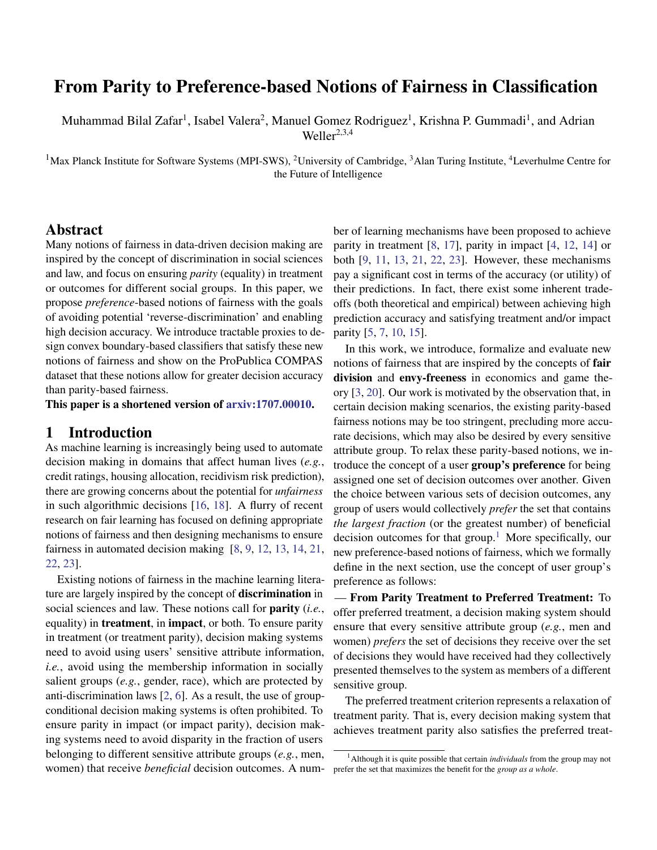# From Parity to Preference-based Notions of Fairness in Classification

Muhammad Bilal Zafar<sup>1</sup>, Isabel Valera<sup>2</sup>, Manuel Gomez Rodriguez<sup>1</sup>, Krishna P. Gummadi<sup>1</sup>, and Adrian Weller $^{2,3,4}$ 

<sup>1</sup>Max Planck Institute for Software Systems (MPI-SWS), <sup>2</sup>University of Cambridge, <sup>3</sup>Alan Turing Institute, <sup>4</sup>Leverhulme Centre for the Future of Intelligence

#### Abstract

Many notions of fairness in data-driven decision making are inspired by the concept of discrimination in social sciences and law, and focus on ensuring *parity* (equality) in treatment or outcomes for different social groups. In this paper, we propose *preference*-based notions of fairness with the goals of avoiding potential 'reverse-discrimination' and enabling high decision accuracy. We introduce tractable proxies to design convex boundary-based classifiers that satisfy these new notions of fairness and show on the ProPublica COMPAS dataset that these notions allow for greater decision accuracy than parity-based fairness.

This paper is a shortened version of [arxiv:1707.00010.](https://arxiv.org/abs/1707.00010)

## <span id="page-0-1"></span>1 Introduction

As machine learning is increasingly being used to automate decision making in domains that affect human lives (*e.g.*, credit ratings, housing allocation, recidivism risk prediction), there are growing concerns about the potential for *unfairness* in such algorithmic decisions [\[16,](#page-4-0) [18\]](#page-4-1). A flurry of recent research on fair learning has focused on defining appropriate notions of fairness and then designing mechanisms to ensure fairness in automated decision making [\[8,](#page-4-2) [9,](#page-4-3) [12,](#page-4-4) [13,](#page-4-5) [14,](#page-4-6) [21,](#page-4-7) [22,](#page-4-8) [23\]](#page-4-9).

Existing notions of fairness in the machine learning literature are largely inspired by the concept of discrimination in social sciences and law. These notions call for parity (*i.e.*, equality) in treatment, in impact, or both. To ensure parity in treatment (or treatment parity), decision making systems need to avoid using users' sensitive attribute information, *i.e.*, avoid using the membership information in socially salient groups (*e.g.*, gender, race), which are protected by anti-discrimination laws [\[2,](#page-4-10) [6\]](#page-4-11). As a result, the use of groupconditional decision making systems is often prohibited. To ensure parity in impact (or impact parity), decision making systems need to avoid disparity in the fraction of users belonging to different sensitive attribute groups (*e.g.*, men, women) that receive *beneficial* decision outcomes. A num-

ber of learning mechanisms have been proposed to achieve parity in treatment [\[8,](#page-4-2) [17\]](#page-4-12), parity in impact [\[4,](#page-4-13) [12,](#page-4-4) [14\]](#page-4-6) or both [\[9,](#page-4-3) [11,](#page-4-14) [13,](#page-4-5) [21,](#page-4-7) [22,](#page-4-8) [23\]](#page-4-9). However, these mechanisms pay a significant cost in terms of the accuracy (or utility) of their predictions. In fact, there exist some inherent tradeoffs (both theoretical and empirical) between achieving high prediction accuracy and satisfying treatment and/or impact parity [\[5,](#page-4-15) [7,](#page-4-16) [10,](#page-4-17) [15\]](#page-4-18).

In this work, we introduce, formalize and evaluate new notions of fairness that are inspired by the concepts of fair division and envy-freeness in economics and game theory [\[3,](#page-4-19) [20\]](#page-4-20). Our work is motivated by the observation that, in certain decision making scenarios, the existing parity-based fairness notions may be too stringent, precluding more accurate decisions, which may also be desired by every sensitive attribute group. To relax these parity-based notions, we introduce the concept of a user group's preference for being assigned one set of decision outcomes over another. Given the choice between various sets of decision outcomes, any group of users would collectively *prefer* the set that contains *the largest fraction* (or the greatest number) of beneficial decision outcomes for that group.<sup>[1](#page-0-0)</sup> More specifically, our new preference-based notions of fairness, which we formally define in the next section, use the concept of user group's preference as follows:

— From Parity Treatment to Preferred Treatment: To offer preferred treatment, a decision making system should ensure that every sensitive attribute group (*e.g.*, men and women) *prefers* the set of decisions they receive over the set of decisions they would have received had they collectively presented themselves to the system as members of a different sensitive group.

The preferred treatment criterion represents a relaxation of treatment parity. That is, every decision making system that achieves treatment parity also satisfies the preferred treat-

<span id="page-0-0"></span><sup>1</sup>Although it is quite possible that certain *individuals* from the group may not prefer the set that maximizes the benefit for the *group as a whole*.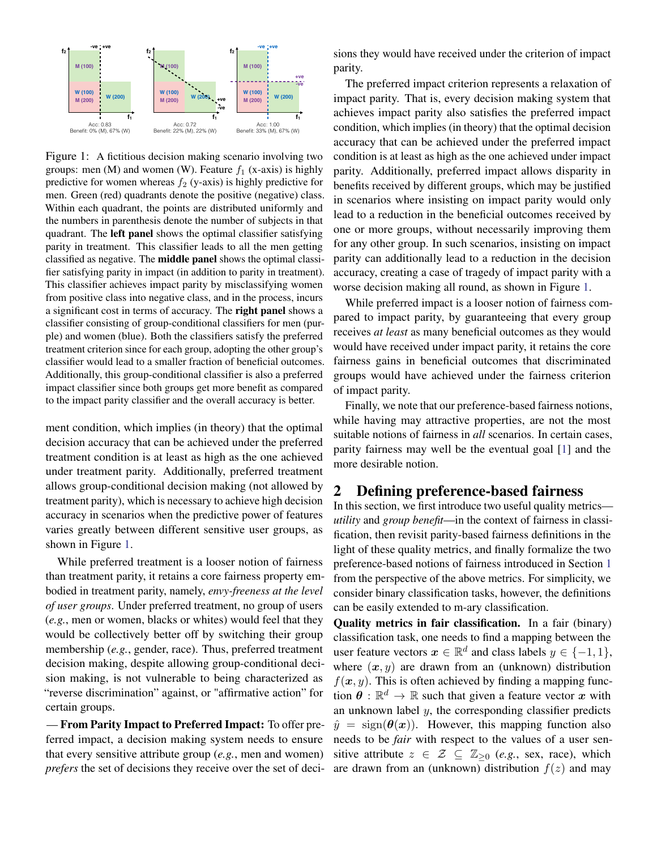<span id="page-1-0"></span>

Figure 1: A fictitious decision making scenario involving two groups: men (M) and women (W). Feature  $f_1$  (x-axis) is highly predictive for women whereas  $f_2$  (y-axis) is highly predictive for men. Green (red) quadrants denote the positive (negative) class. Within each quadrant, the points are distributed uniformly and the numbers in parenthesis denote the number of subjects in that quadrant. The left panel shows the optimal classifier satisfying parity in treatment. This classifier leads to all the men getting classified as negative. The middle panel shows the optimal classifier satisfying parity in impact (in addition to parity in treatment). This classifier achieves impact parity by misclassifying women from positive class into negative class, and in the process, incurs a significant cost in terms of accuracy. The right panel shows a classifier consisting of group-conditional classifiers for men (purple) and women (blue). Both the classifiers satisfy the preferred treatment criterion since for each group, adopting the other group's classifier would lead to a smaller fraction of beneficial outcomes. Additionally, this group-conditional classifier is also a preferred impact classifier since both groups get more benefit as compared to the impact parity classifier and the overall accuracy is better.

ment condition, which implies (in theory) that the optimal decision accuracy that can be achieved under the preferred treatment condition is at least as high as the one achieved under treatment parity. Additionally, preferred treatment allows group-conditional decision making (not allowed by treatment parity), which is necessary to achieve high decision accuracy in scenarios when the predictive power of features varies greatly between different sensitive user groups, as shown in Figure [1.](#page-1-0)

While preferred treatment is a looser notion of fairness than treatment parity, it retains a core fairness property embodied in treatment parity, namely, *envy-freeness at the level of user groups*. Under preferred treatment, no group of users (*e.g.*, men or women, blacks or whites) would feel that they would be collectively better off by switching their group membership (*e.g.*, gender, race). Thus, preferred treatment decision making, despite allowing group-conditional decision making, is not vulnerable to being characterized as "reverse discrimination" against, or "affirmative action" for certain groups.

— From Parity Impact to Preferred Impact: To offer preferred impact, a decision making system needs to ensure that every sensitive attribute group (*e.g.*, men and women) *prefers* the set of decisions they receive over the set of deci-

sions they would have received under the criterion of impact parity.

The preferred impact criterion represents a relaxation of impact parity. That is, every decision making system that achieves impact parity also satisfies the preferred impact condition, which implies (in theory) that the optimal decision accuracy that can be achieved under the preferred impact condition is at least as high as the one achieved under impact parity. Additionally, preferred impact allows disparity in benefits received by different groups, which may be justified in scenarios where insisting on impact parity would only lead to a reduction in the beneficial outcomes received by one or more groups, without necessarily improving them for any other group. In such scenarios, insisting on impact parity can additionally lead to a reduction in the decision accuracy, creating a case of tragedy of impact parity with a worse decision making all round, as shown in Figure [1.](#page-1-0)

While preferred impact is a looser notion of fairness compared to impact parity, by guaranteeing that every group receives *at least* as many beneficial outcomes as they would would have received under impact parity, it retains the core fairness gains in beneficial outcomes that discriminated groups would have achieved under the fairness criterion of impact parity.

Finally, we note that our preference-based fairness notions, while having may attractive properties, are not the most suitable notions of fairness in *all* scenarios. In certain cases, parity fairness may well be the eventual goal [\[1\]](#page-4-21) and the more desirable notion.

## 2 Defining preference-based fairness

In this section, we first introduce two useful quality metrics *utility* and *group benefit*—in the context of fairness in classification, then revisit parity-based fairness definitions in the light of these quality metrics, and finally formalize the two preference-based notions of fairness introduced in Section [1](#page-0-1) from the perspective of the above metrics. For simplicity, we consider binary classification tasks, however, the definitions can be easily extended to m-ary classification.

Quality metrics in fair classification. In a fair (binary) classification task, one needs to find a mapping between the user feature vectors  $x \in \mathbb{R}^d$  and class labels  $y \in \{-1, 1\}$ , where  $(x, y)$  are drawn from an (unknown) distribution  $f(x, y)$ . This is often achieved by finding a mapping function  $\theta$  :  $\mathbb{R}^d \to \mathbb{R}$  such that given a feature vector x with an unknown label  $y$ , the corresponding classifier predicts  $\hat{y}$  = sign( $\theta(x)$ ). However, this mapping function also needs to be *fair* with respect to the values of a user sensitive attribute  $z \in \mathcal{Z} \subseteq \mathbb{Z}_{\geq 0}$  (*e.g.*, sex, race), which are drawn from an (unknown) distribution  $f(z)$  and may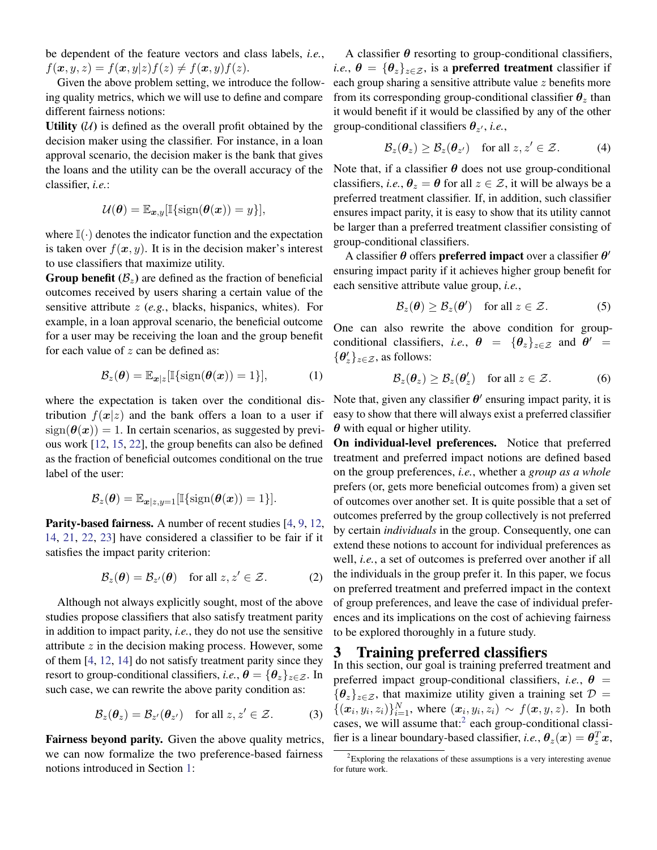be dependent of the feature vectors and class labels, *i.e.*,  $f(\boldsymbol{x}, y, z) = f(\boldsymbol{x}, y|z) f(z) \neq f(\boldsymbol{x}, y) f(z).$ 

Given the above problem setting, we introduce the following quality metrics, which we will use to define and compare different fairness notions:

Utility  $(U)$  is defined as the overall profit obtained by the decision maker using the classifier. For instance, in a loan approval scenario, the decision maker is the bank that gives the loans and the utility can be the overall accuracy of the classifier, *i.e.*:

<span id="page-2-1"></span>
$$
\mathcal{U}(\boldsymbol{\theta}) = \mathbb{E}_{\boldsymbol{x},y}[\mathbb{I}\{\text{sign}(\boldsymbol{\theta}(\boldsymbol{x})) = y\}],
$$

where  $\mathbb{I}(\cdot)$  denotes the indicator function and the expectation is taken over  $f(x, y)$ . It is in the decision maker's interest to use classifiers that maximize utility.

**Group benefit**  $(\mathcal{B}_z)$  are defined as the fraction of beneficial outcomes received by users sharing a certain value of the sensitive attribute z (*e.g.*, blacks, hispanics, whites). For example, in a loan approval scenario, the beneficial outcome for a user may be receiving the loan and the group benefit for each value of  $z$  can be defined as:

$$
\mathcal{B}_z(\boldsymbol{\theta}) = \mathbb{E}_{\boldsymbol{x}|z}[\mathbb{I}\{\text{sign}(\boldsymbol{\theta}(\boldsymbol{x})) = 1\}], \quad (1)
$$

where the expectation is taken over the conditional distribution  $f(x|z)$  and the bank offers a loan to a user if  $sign(\theta(x)) = 1$ . In certain scenarios, as suggested by previous work [\[12,](#page-4-4) [15,](#page-4-18) [22\]](#page-4-8), the group benefits can also be defined as the fraction of beneficial outcomes conditional on the true label of the user:

$$
\mathcal{B}_z(\boldsymbol{\theta}) = \mathbb{E}_{\boldsymbol{x}|z,y=1}[\mathbb{I}\{\text{sign}(\boldsymbol{\theta}(\boldsymbol{x}))=1\}].
$$

Parity-based fairness. A number of recent studies [\[4,](#page-4-13) [9,](#page-4-3) [12,](#page-4-4) [14,](#page-4-6) [21,](#page-4-7) [22,](#page-4-8) [23\]](#page-4-9) have considered a classifier to be fair if it satisfies the impact parity criterion:

$$
\mathcal{B}_z(\boldsymbol{\theta}) = \mathcal{B}_{z'}(\boldsymbol{\theta}) \quad \text{for all } z, z' \in \mathcal{Z}.
$$
 (2)

Although not always explicitly sought, most of the above studies propose classifiers that also satisfy treatment parity in addition to impact parity, *i.e.*, they do not use the sensitive attribute z in the decision making process. However, some of them [\[4,](#page-4-13) [12,](#page-4-4) [14\]](#page-4-6) do not satisfy treatment parity since they resort to group-conditional classifiers, *i.e.*,  $\theta = {\theta_z}_{z \in \mathcal{Z}}$ . In such case, we can rewrite the above parity condition as:

$$
\mathcal{B}_z(\boldsymbol{\theta}_z) = \mathcal{B}_{z'}(\boldsymbol{\theta}_{z'}) \quad \text{for all } z, z' \in \mathcal{Z}.
$$
 (3)

Fairness beyond parity. Given the above quality metrics, we can now formalize the two preference-based fairness notions introduced in Section [1:](#page-0-1)

A classifier  $\theta$  resorting to group-conditional classifiers, *i.e.*,  $\theta = {\theta_z}_{z \in \mathcal{Z}}$ , is a **preferred treatment** classifier if each group sharing a sensitive attribute value z benefits more from its corresponding group-conditional classifier  $\theta_z$  than it would benefit if it would be classified by any of the other group-conditional classifiers  $\theta_{z'}$ , *i.e.*,

<span id="page-2-3"></span>
$$
\mathcal{B}_z(\boldsymbol{\theta}_z) \ge \mathcal{B}_z(\boldsymbol{\theta}_{z'}) \quad \text{for all } z, z' \in \mathcal{Z}.
$$
 (4)

Note that, if a classifier  $\theta$  does not use group-conditional classifiers, *i.e.*,  $\theta_z = \theta$  for all  $z \in \mathcal{Z}$ , it will be always be a preferred treatment classifier. If, in addition, such classifier ensures impact parity, it is easy to show that its utility cannot be larger than a preferred treatment classifier consisting of group-conditional classifiers.

A classifier  $\theta$  offers preferred impact over a classifier  $\theta'$ ensuring impact parity if it achieves higher group benefit for each sensitive attribute value group, *i.e.*,

$$
\mathcal{B}_z(\boldsymbol{\theta}) \geq \mathcal{B}_z(\boldsymbol{\theta}') \quad \text{for all } z \in \mathcal{Z}.
$$
 (5)

One can also rewrite the above condition for groupconditional classifiers, *i.e.*,  $\theta = {\theta_z}_{z \in \mathcal{Z}}$  and  $\theta' =$  $\{\boldsymbol{\theta}'_z\}_{z\in\mathcal{Z}}$ , as follows:

<span id="page-2-2"></span>
$$
\mathcal{B}_z(\boldsymbol{\theta}_z) \ge \mathcal{B}_z(\boldsymbol{\theta}_z') \quad \text{for all } z \in \mathcal{Z}.
$$
 (6)

Note that, given any classifier  $\theta'$  ensuring impact parity, it is easy to show that there will always exist a preferred classifier  $\theta$  with equal or higher utility.

On individual-level preferences. Notice that preferred treatment and preferred impact notions are defined based on the group preferences, *i.e.*, whether a *group as a whole* prefers (or, gets more beneficial outcomes from) a given set of outcomes over another set. It is quite possible that a set of outcomes preferred by the group collectively is not preferred by certain *individuals* in the group. Consequently, one can extend these notions to account for individual preferences as well, *i.e.*, a set of outcomes is preferred over another if all the individuals in the group prefer it. In this paper, we focus on preferred treatment and preferred impact in the context of group preferences, and leave the case of individual preferences and its implications on the cost of achieving fairness to be explored thoroughly in a future study.

#### 3 Training preferred classifiers

In this section, our goal is training preferred treatment and preferred impact group-conditional classifiers, *i.e.*,  $\theta$  =  ${\{\theta_z\}_{z\in\mathcal{Z}}}$ , that maximize utility given a training set  $\mathcal{D} =$  $\{(\boldsymbol{x}_i, y_i, z_i)\}_{i=1}^N$ , where  $(\boldsymbol{x}_i, y_i, z_i) \sim f(\boldsymbol{x}, y, z)$ . In both cases, we will assume that: $2$  each group-conditional classifier is a linear boundary-based classifier, *i.e.*,  $\boldsymbol{\theta}_z(\boldsymbol{x}) = \boldsymbol{\theta}_z^T \boldsymbol{x}$ ,

<span id="page-2-0"></span> $2$ Exploring the relaxations of these assumptions is a very interesting avenue for future work.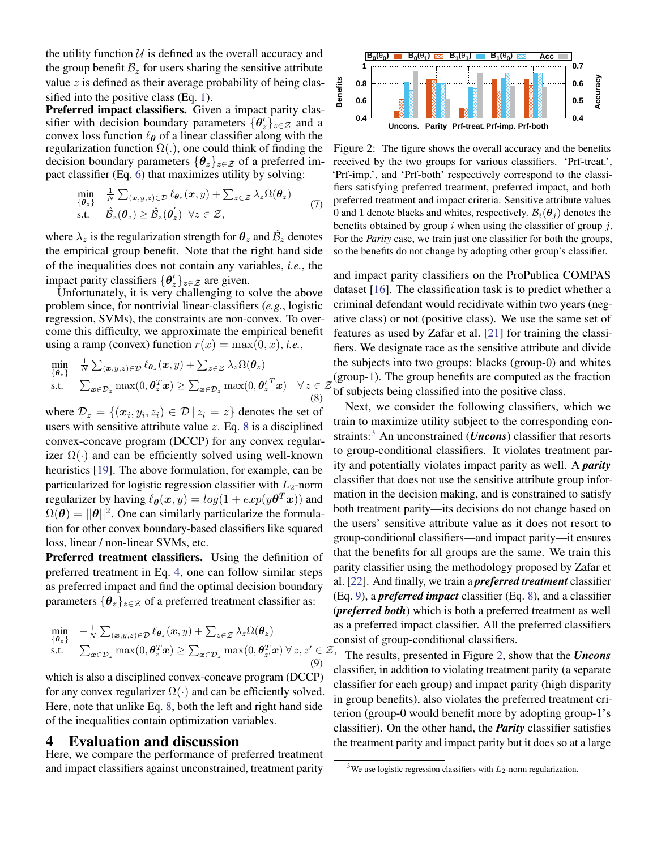the utility function  $U$  is defined as the overall accuracy and the group benefit  $B_z$  for users sharing the sensitive attribute value  $z$  is defined as their average probability of being classified into the positive class (Eq. [1\)](#page-2-1).

Preferred impact classifiers. Given a impact parity classifier with decision boundary parameters  $\{\theta'_{z}\}_{z \in \mathcal{Z}}$  and a convex loss function  $\ell_{\theta}$  of a linear classifier along with the regularization function  $\Omega(.)$ , one could think of finding the decision boundary parameters  $\{\theta_z\}_{z\in\mathcal{Z}}$  of a preferred impact classifier (Eq. [6\)](#page-2-2) that maximizes utility by solving:

$$
\min_{\{\theta_z\}} \quad \frac{1}{N} \sum_{(\boldsymbol{x},y,z) \in \mathcal{D}} \ell_{\theta_z}(\boldsymbol{x},y) + \sum_{z \in \mathcal{Z}} \lambda_z \Omega(\theta_z)
$$
\n
$$
\text{s.t.} \quad \hat{\mathcal{B}}_z(\theta_z) \ge \hat{\mathcal{B}}_z(\theta_z') \quad \forall z \in \mathcal{Z},
$$
\n
$$
(7)
$$

where  $\lambda_z$  is the regularization strength for  $\theta_z$  and  $\hat{\mathcal{B}}_z$  denotes the empirical group benefit. Note that the right hand side of the inequalities does not contain any variables, *i.e.*, the impact parity classifiers  $\{\theta_z'\}_{z \in \mathcal{Z}}$  are given.

Unfortunately, it is very challenging to solve the above problem since, for nontrivial linear-classifiers (*e.g.*, logistic regression, SVMs), the constraints are non-convex. To overcome this difficulty, we approximate the empirical benefit using a ramp (convex) function  $r(x) = \max(0, x)$ , *i.e.*,

<span id="page-3-0"></span>
$$
\min_{\{\theta_z\}} \quad \frac{1}{N} \sum_{(\boldsymbol{x},y,z) \in \mathcal{D}} \ell_{\theta_z}(\boldsymbol{x}, y) + \sum_{z \in \mathcal{Z}} \lambda_z \Omega(\boldsymbol{\theta}_z)
$$
\ns.t. 
$$
\sum_{\boldsymbol{x} \in \mathcal{D}_z} \max(0, \boldsymbol{\theta}_z^T \boldsymbol{x}) \ge \sum_{\boldsymbol{x} \in \mathcal{D}_z} \max(0, \boldsymbol{\theta}_z^T \boldsymbol{x}) \quad \forall z \in \mathcal{Z}
$$
\n(8)

where  $\mathcal{D}_z = \{(\boldsymbol{x}_i, y_i, z_i) \in \mathcal{D} \,|\, z_i = z\}$  denotes the set of users with sensitive attribute value  $z$ . Eq. [8](#page-3-0) is a disciplined convex-concave program (DCCP) for any convex regularizer  $\Omega(\cdot)$  and can be efficiently solved using well-known heuristics [\[19\]](#page-4-22). The above formulation, for example, can be particularized for logistic regression classifier with  $L_2$ -norm regularizer by having  $\ell_{\boldsymbol{\theta}}(\boldsymbol{x},y) = log(1 + exp(y\boldsymbol{\theta}^{T}\boldsymbol{x}))$  and  $\Omega(\theta) = ||\theta||^2$ . One can similarly particularize the formulation for other convex boundary-based classifiers like squared loss, linear / non-linear SVMs, etc.

Preferred treatment classifiers. Using the definition of preferred treatment in Eq. [4,](#page-2-3) one can follow similar steps as preferred impact and find the optimal decision boundary parameters  $\{\theta_z\}_{z\in\mathcal{Z}}$  of a preferred treatment classifier as:

<span id="page-3-2"></span>
$$
\min_{\{\theta_z\}} \quad -\frac{1}{N} \sum_{(\boldsymbol{x},y,z) \in \mathcal{D}} \ell_{\theta_z}(\boldsymbol{x},y) + \sum_{z \in \mathcal{Z}} \lambda_z \Omega(\boldsymbol{\theta}_z) \quad \text{for} \quad \Omega
$$
\n
$$
\text{s.t.} \quad \sum_{\boldsymbol{x} \in \mathcal{D}_z} \max(0, \boldsymbol{\theta}_z^T \boldsymbol{x}) \ge \sum_{\boldsymbol{x} \in \mathcal{D}_z} \max(0, \boldsymbol{\theta}_z^T \boldsymbol{x}) \,\forall \, z, z' \in \mathcal{Z}, \tag{9}
$$

which is also a disciplined convex-concave program (DCCP) for any convex regularizer  $\Omega(\cdot)$  and can be efficiently solved. Here, note that unlike Eq. [8,](#page-3-0) both the left and right hand side of the inequalities contain optimization variables.

#### 4 Evaluation and discussion

Here, we compare the performance of preferred treatment and impact classifiers against unconstrained, treatment parity

<span id="page-3-3"></span>

Figure 2: The figure shows the overall accuracy and the benefits received by the two groups for various classifiers. 'Prf-treat.', 'Prf-imp.', and 'Prf-both' respectively correspond to the classifiers satisfying preferred treatment, preferred impact, and both preferred treatment and impact criteria. Sensitive attribute values 0 and 1 denote blacks and whites, respectively.  $\mathcal{B}_i(\theta_i)$  denotes the benefits obtained by group i when using the classifier of group  $i$ . For the *Parity* case, we train just one classifier for both the groups, so the benefits do not change by adopting other group's classifier.

x)  $\forall z \in \mathcal{Z}$  (group-1). The group benefits are computed as the fraction and impact parity classifiers on the ProPublica COMPAS dataset [\[16\]](#page-4-0). The classification task is to predict whether a criminal defendant would recidivate within two years (negative class) or not (positive class). We use the same set of features as used by Zafar et al. [\[21\]](#page-4-7) for training the classifiers. We designate race as the sensitive attribute and divide the subjects into two groups: blacks (group-0) and whites of subjects being classified into the positive class.

> Next, we consider the following classifiers, which we train to maximize utility subject to the corresponding con-straints:<sup>[3](#page-3-1)</sup> An unconstrained (*Uncons*) classifier that resorts to group-conditional classifiers. It violates treatment parity and potentially violates impact parity as well. A *parity* classifier that does not use the sensitive attribute group information in the decision making, and is constrained to satisfy both treatment parity—its decisions do not change based on the users' sensitive attribute value as it does not resort to group-conditional classifiers—and impact parity—it ensures that the benefits for all groups are the same. We train this parity classifier using the methodology proposed by Zafar et al. [\[22\]](#page-4-8). And finally, we train a *preferred treatment* classifier (Eq. [9\)](#page-3-2), a *preferred impact* classifier (Eq. [8\)](#page-3-0), and a classifier (*preferred both*) which is both a preferred treatment as well as a preferred impact classifier. All the preferred classifiers consist of group-conditional classifiers.

> The results, presented in Figure [2,](#page-3-3) show that the *Uncons* classifier, in addition to violating treatment parity (a separate classifier for each group) and impact parity (high disparity in group benefits), also violates the preferred treatment criterion (group-0 would benefit more by adopting group-1's classifier). On the other hand, the *Parity* classifier satisfies the treatment parity and impact parity but it does so at a large

<span id="page-3-1"></span><sup>&</sup>lt;sup>3</sup>We use logistic regression classifiers with  $L_2$ -norm regularization.